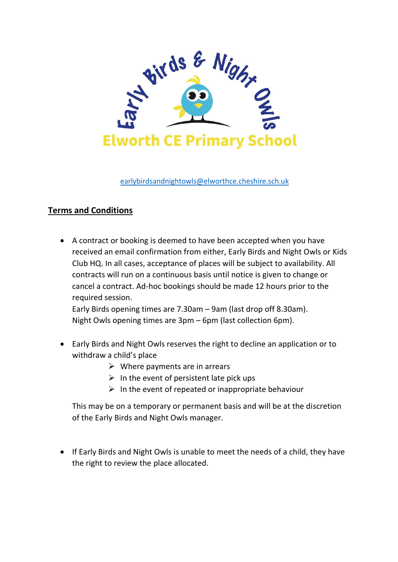

[earlybirdsandnightowls@elworthce.cheshire.sch.uk](mailto:earlybirdsandnightowls@elworthce.cheshire.sch.uk)

## **Terms and Conditions**

 A contract or booking is deemed to have been accepted when you have received an email confirmation from either, Early Birds and Night Owls or Kids Club HQ. In all cases, acceptance of places will be subject to availability. All contracts will run on a continuous basis until notice is given to change or cancel a contract. Ad-hoc bookings should be made 12 hours prior to the required session.

Early Birds opening times are 7.30am – 9am (last drop off 8.30am). Night Owls opening times are 3pm – 6pm (last collection 6pm).

- Early Birds and Night Owls reserves the right to decline an application or to withdraw a child's place
	- $\triangleright$  Where payments are in arrears
	- $\triangleright$  In the event of persistent late pick ups
	- $\triangleright$  In the event of repeated or inappropriate behaviour

This may be on a temporary or permanent basis and will be at the discretion of the Early Birds and Night Owls manager.

• If Early Birds and Night Owls is unable to meet the needs of a child, they have the right to review the place allocated.